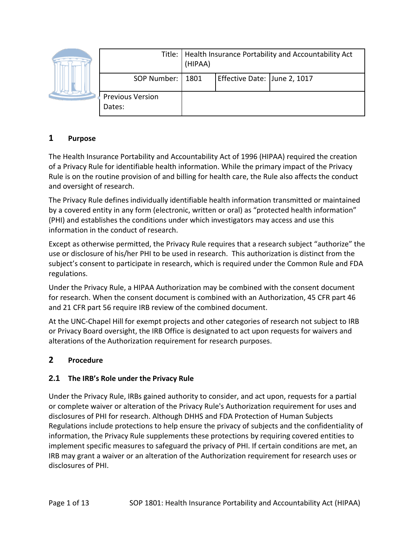|  |                                   | Title:   Health Insurance Portability and Accountability Act<br>(HIPAA) |                              |  |
|--|-----------------------------------|-------------------------------------------------------------------------|------------------------------|--|
|  | SOP Number:   1801                |                                                                         | Effective Date: June 2, 1017 |  |
|  | <b>Previous Version</b><br>Dates: |                                                                         |                              |  |

## **1 Purpose**

The Health Insurance Portability and Accountability Act of 1996 (HIPAA) required the creation of a Privacy Rule for identifiable health information. While the primary impact of the Privacy Rule is on the routine provision of and billing for health care, the Rule also affects the conduct and oversight of research.

The Privacy Rule defines individually identifiable health information transmitted or maintained by a covered entity in any form (electronic, written or oral) as "protected health information" (PHI) and establishes the conditions under which investigators may access and use this information in the conduct of research.

Except as otherwise permitted, the Privacy Rule requires that a research subject "authorize" the use or disclosure of his/her PHI to be used in research. This authorization is distinct from the subject's consent to participate in research, which is required under the Common Rule and FDA regulations.

Under the Privacy Rule, a HIPAA Authorization may be combined with the consent document for research. When the consent document is combined with an Authorization, 45 CFR part 46 and 21 CFR part 56 require IRB review of the combined document.

At the UNC-Chapel Hill for exempt projects and other categories of research not subject to IRB or Privacy Board oversight, the IRB Office is designated to act upon requests for waivers and alterations of the Authorization requirement for research purposes.

## **2 Procedure**

## **2.1 The IRB's Role under the Privacy Rule**

Under the Privacy Rule, IRBs gained authority to consider, and act upon, requests for a partial or complete waiver or alteration of the Privacy Rule's Authorization requirement for uses and disclosures of PHI for research. Although DHHS and FDA Protection of Human Subjects Regulations include protections to help ensure the privacy of subjects and the confidentiality of information, the Privacy Rule supplements these protections by requiring covered entities to implement specific measures to safeguard the privacy of PHI. If certain conditions are met, an IRB may grant a waiver or an alteration of the Authorization requirement for research uses or disclosures of PHI.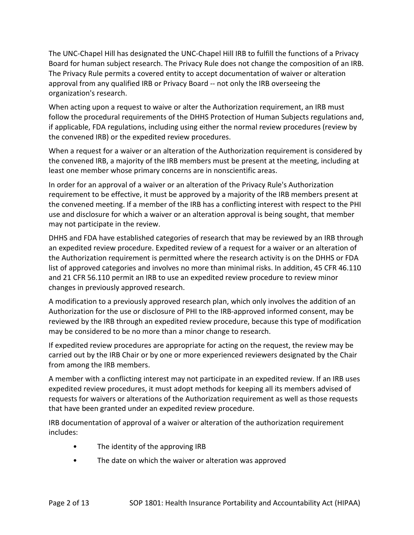The UNC-Chapel Hill has designated the UNC-Chapel Hill IRB to fulfill the functions of a Privacy Board for human subject research. The Privacy Rule does not change the composition of an IRB. The Privacy Rule permits a covered entity to accept documentation of waiver or alteration approval from any qualified IRB or Privacy Board -- not only the IRB overseeing the organization's research.

When acting upon a request to waive or alter the Authorization requirement, an IRB must follow the procedural requirements of the DHHS Protection of Human Subjects regulations and, if applicable, FDA regulations, including using either the normal review procedures (review by the convened IRB) or the expedited review procedures.

When a request for a waiver or an alteration of the Authorization requirement is considered by the convened IRB, a majority of the IRB members must be present at the meeting, including at least one member whose primary concerns are in nonscientific areas.

In order for an approval of a waiver or an alteration of the Privacy Rule's Authorization requirement to be effective, it must be approved by a majority of the IRB members present at the convened meeting. If a member of the IRB has a conflicting interest with respect to the PHI use and disclosure for which a waiver or an alteration approval is being sought, that member may not participate in the review.

DHHS and FDA have established categories of research that may be reviewed by an IRB through an expedited review procedure. Expedited review of a request for a waiver or an alteration of the Authorization requirement is permitted where the research activity is on the DHHS or FDA list of approved categories and involves no more than minimal risks. In addition, 45 CFR 46.110 and 21 CFR 56.110 permit an IRB to use an expedited review procedure to review minor changes in previously approved research.

A modification to a previously approved research plan, which only involves the addition of an Authorization for the use or disclosure of PHI to the IRB-approved informed consent, may be reviewed by the IRB through an expedited review procedure, because this type of modification may be considered to be no more than a minor change to research.

If expedited review procedures are appropriate for acting on the request, the review may be carried out by the IRB Chair or by one or more experienced reviewers designated by the Chair from among the IRB members.

A member with a conflicting interest may not participate in an expedited review. If an IRB uses expedited review procedures, it must adopt methods for keeping all its members advised of requests for waivers or alterations of the Authorization requirement as well as those requests that have been granted under an expedited review procedure.

IRB documentation of approval of a waiver or alteration of the authorization requirement includes:

- The identity of the approving IRB
- The date on which the waiver or alteration was approved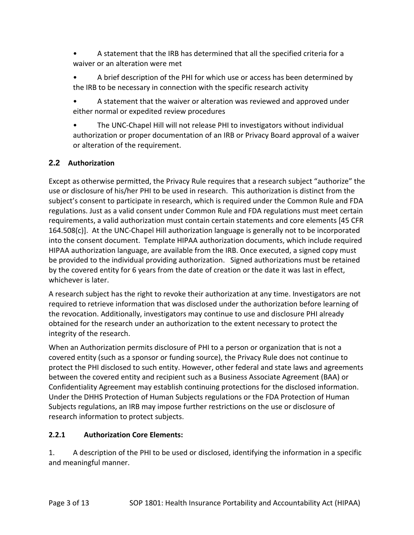- A statement that the IRB has determined that all the specified criteria for a waiver or an alteration were met
- A brief description of the PHI for which use or access has been determined by the IRB to be necessary in connection with the specific research activity
- A statement that the waiver or alteration was reviewed and approved under either normal or expedited review procedures
- The UNC-Chapel Hill will not release PHI to investigators without individual authorization or proper documentation of an IRB or Privacy Board approval of a waiver or alteration of the requirement.

## **2.2 Authorization**

Except as otherwise permitted, the Privacy Rule requires that a research subject "authorize" the use or disclosure of his/her PHI to be used in research. This authorization is distinct from the subject's consent to participate in research, which is required under the Common Rule and FDA regulations. Just as a valid consent under Common Rule and FDA regulations must meet certain requirements, a valid authorization must contain certain statements and core elements [45 CFR 164.508(c)]. At the UNC-Chapel Hill authorization language is generally not to be incorporated into the consent document. Template HIPAA authorization documents, which include required HIPAA authorization language, are available from the IRB. Once executed, a signed copy must be provided to the individual providing authorization. Signed authorizations must be retained by the covered entity for 6 years from the date of creation or the date it was last in effect, whichever is later.

A research subject has the right to revoke their authorization at any time. Investigators are not required to retrieve information that was disclosed under the authorization before learning of the revocation. Additionally, investigators may continue to use and disclosure PHI already obtained for the research under an authorization to the extent necessary to protect the integrity of the research.

When an Authorization permits disclosure of PHI to a person or organization that is not a covered entity (such as a sponsor or funding source), the Privacy Rule does not continue to protect the PHI disclosed to such entity. However, other federal and state laws and agreements between the covered entity and recipient such as a Business Associate Agreement (BAA) or Confidentiality Agreement may establish continuing protections for the disclosed information. Under the DHHS Protection of Human Subjects regulations or the FDA Protection of Human Subjects regulations, an IRB may impose further restrictions on the use or disclosure of research information to protect subjects.

## **2.2.1 Authorization Core Elements:**

1. A description of the PHI to be used or disclosed, identifying the information in a specific and meaningful manner.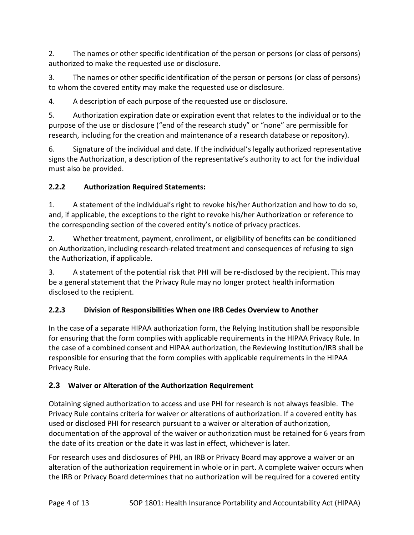2. The names or other specific identification of the person or persons (or class of persons) authorized to make the requested use or disclosure.

3. The names or other specific identification of the person or persons (or class of persons) to whom the covered entity may make the requested use or disclosure.

4. A description of each purpose of the requested use or disclosure.

5. Authorization expiration date or expiration event that relates to the individual or to the purpose of the use or disclosure ("end of the research study" or "none" are permissible for research, including for the creation and maintenance of a research database or repository).

6. Signature of the individual and date. If the individual's legally authorized representative signs the Authorization, a description of the representative's authority to act for the individual must also be provided.

# **2.2.2 Authorization Required Statements:**

1. A statement of the individual's right to revoke his/her Authorization and how to do so, and, if applicable, the exceptions to the right to revoke his/her Authorization or reference to the corresponding section of the covered entity's notice of privacy practices.

2. Whether treatment, payment, enrollment, or eligibility of benefits can be conditioned on Authorization, including research-related treatment and consequences of refusing to sign the Authorization, if applicable.

3. A statement of the potential risk that PHI will be re-disclosed by the recipient. This may be a general statement that the Privacy Rule may no longer protect health information disclosed to the recipient.

## **2.2.3 Division of Responsibilities When one IRB Cedes Overview to Another**

In the case of a separate HIPAA authorization form, the Relying Institution shall be responsible for ensuring that the form complies with applicable requirements in the HIPAA Privacy Rule. In the case of a combined consent and HIPAA authorization, the Reviewing Institution/IRB shall be responsible for ensuring that the form complies with applicable requirements in the HIPAA Privacy Rule.

## **2.3 Waiver or Alteration of the Authorization Requirement**

Obtaining signed authorization to access and use PHI for research is not always feasible. The Privacy Rule contains criteria for waiver or alterations of authorization. If a covered entity has used or disclosed PHI for research pursuant to a waiver or alteration of authorization, documentation of the approval of the waiver or authorization must be retained for 6 years from the date of its creation or the date it was last in effect, whichever is later.

For research uses and disclosures of PHI, an IRB or Privacy Board may approve a waiver or an alteration of the authorization requirement in whole or in part. A complete waiver occurs when the IRB or Privacy Board determines that no authorization will be required for a covered entity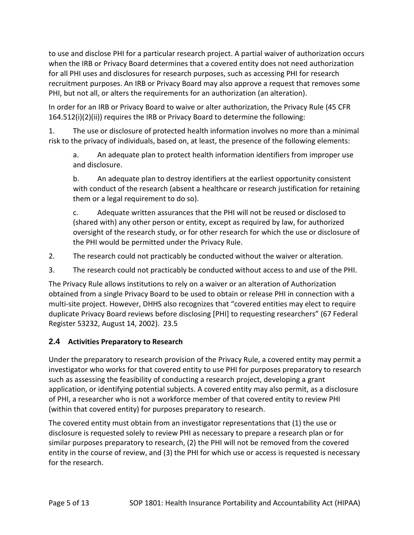to use and disclose PHI for a particular research project. A partial waiver of authorization occurs when the IRB or Privacy Board determines that a covered entity does not need authorization for all PHI uses and disclosures for research purposes, such as accessing PHI for research recruitment purposes. An IRB or Privacy Board may also approve a request that removes some PHI, but not all, or alters the requirements for an authorization (an alteration).

In order for an IRB or Privacy Board to waive or alter authorization, the Privacy Rule (45 CFR 164.512(i)(2)(ii)) requires the IRB or Privacy Board to determine the following:

1. The use or disclosure of protected health information involves no more than a minimal risk to the privacy of individuals, based on, at least, the presence of the following elements:

a. An adequate plan to protect health information identifiers from improper use and disclosure.

b. An adequate plan to destroy identifiers at the earliest opportunity consistent with conduct of the research (absent a healthcare or research justification for retaining them or a legal requirement to do so).

c. Adequate written assurances that the PHI will not be reused or disclosed to (shared with) any other person or entity, except as required by law, for authorized oversight of the research study, or for other research for which the use or disclosure of the PHI would be permitted under the Privacy Rule.

- 2. The research could not practicably be conducted without the waiver or alteration.
- 3. The research could not practicably be conducted without access to and use of the PHI.

The Privacy Rule allows institutions to rely on a waiver or an alteration of Authorization obtained from a single Privacy Board to be used to obtain or release PHI in connection with a multi-site project. However, DHHS also recognizes that "covered entities may elect to require duplicate Privacy Board reviews before disclosing [PHI] to requesting researchers" (67 Federal Register 53232, August 14, 2002). 23.5

## **2.4 Activities Preparatory to Research**

Under the preparatory to research provision of the Privacy Rule, a covered entity may permit a investigator who works for that covered entity to use PHI for purposes preparatory to research such as assessing the feasibility of conducting a research project, developing a grant application, or identifying potential subjects. A covered entity may also permit, as a disclosure of PHI, a researcher who is not a workforce member of that covered entity to review PHI (within that covered entity) for purposes preparatory to research.

The covered entity must obtain from an investigator representations that (1) the use or disclosure is requested solely to review PHI as necessary to prepare a research plan or for similar purposes preparatory to research, (2) the PHI will not be removed from the covered entity in the course of review, and (3) the PHI for which use or access is requested is necessary for the research.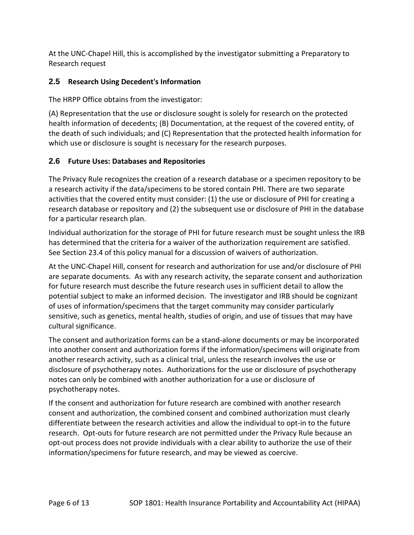At the UNC-Chapel Hill, this is accomplished by the investigator submitting a Preparatory to Research request

## **2.5 Research Using Decedent's Information**

The HRPP Office obtains from the investigator:

(A) Representation that the use or disclosure sought is solely for research on the protected health information of decedents; (B) Documentation, at the request of the covered entity, of the death of such individuals; and (C) Representation that the protected health information for which use or disclosure is sought is necessary for the research purposes.

## **2.6 Future Uses: Databases and Repositories**

The Privacy Rule recognizes the creation of a research database or a specimen repository to be a research activity if the data/specimens to be stored contain PHI. There are two separate activities that the covered entity must consider: (1) the use or disclosure of PHI for creating a research database or repository and (2) the subsequent use or disclosure of PHI in the database for a particular research plan.

Individual authorization for the storage of PHI for future research must be sought unless the IRB has determined that the criteria for a waiver of the authorization requirement are satisfied. See Section 23.4 of this policy manual for a discussion of waivers of authorization.

At the UNC-Chapel Hill, consent for research and authorization for use and/or disclosure of PHI are separate documents. As with any research activity, the separate consent and authorization for future research must describe the future research uses in sufficient detail to allow the potential subject to make an informed decision. The investigator and IRB should be cognizant of uses of information/specimens that the target community may consider particularly sensitive, such as genetics, mental health, studies of origin, and use of tissues that may have cultural significance.

The consent and authorization forms can be a stand-alone documents or may be incorporated into another consent and authorization forms if the information/specimens will originate from another research activity, such as a clinical trial, unless the research involves the use or disclosure of psychotherapy notes. Authorizations for the use or disclosure of psychotherapy notes can only be combined with another authorization for a use or disclosure of psychotherapy notes.

If the consent and authorization for future research are combined with another research consent and authorization, the combined consent and combined authorization must clearly differentiate between the research activities and allow the individual to opt-in to the future research. Opt-outs for future research are not permitted under the Privacy Rule because an opt-out process does not provide individuals with a clear ability to authorize the use of their information/specimens for future research, and may be viewed as coercive.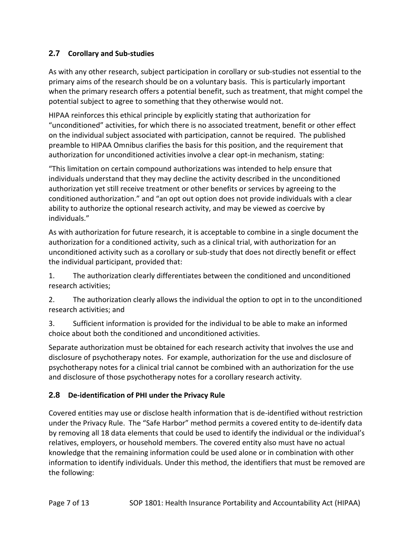## **2.7 Corollary and Sub-studies**

As with any other research, subject participation in corollary or sub-studies not essential to the primary aims of the research should be on a voluntary basis. This is particularly important when the primary research offers a potential benefit, such as treatment, that might compel the potential subject to agree to something that they otherwise would not.

HIPAA reinforces this ethical principle by explicitly stating that authorization for "unconditioned" activities, for which there is no associated treatment, benefit or other effect on the individual subject associated with participation, cannot be required. The published preamble to HIPAA Omnibus clarifies the basis for this position, and the requirement that authorization for unconditioned activities involve a clear opt-in mechanism, stating:

"This limitation on certain compound authorizations was intended to help ensure that individuals understand that they may decline the activity described in the unconditioned authorization yet still receive treatment or other benefits or services by agreeing to the conditioned authorization." and "an opt out option does not provide individuals with a clear ability to authorize the optional research activity, and may be viewed as coercive by individuals."

As with authorization for future research, it is acceptable to combine in a single document the authorization for a conditioned activity, such as a clinical trial, with authorization for an unconditioned activity such as a corollary or sub-study that does not directly benefit or effect the individual participant, provided that:

1. The authorization clearly differentiates between the conditioned and unconditioned research activities;

2. The authorization clearly allows the individual the option to opt in to the unconditioned research activities; and

3. Sufficient information is provided for the individual to be able to make an informed choice about both the conditioned and unconditioned activities.

Separate authorization must be obtained for each research activity that involves the use and disclosure of psychotherapy notes. For example, authorization for the use and disclosure of psychotherapy notes for a clinical trial cannot be combined with an authorization for the use and disclosure of those psychotherapy notes for a corollary research activity.

## **2.8 De-identification of PHI under the Privacy Rule**

Covered entities may use or disclose health information that is de-identified without restriction under the Privacy Rule. The "Safe Harbor" method permits a covered entity to de-identify data by removing all 18 data elements that could be used to identify the individual or the individual's relatives, employers, or household members. The covered entity also must have no actual knowledge that the remaining information could be used alone or in combination with other information to identify individuals. Under this method, the identifiers that must be removed are the following: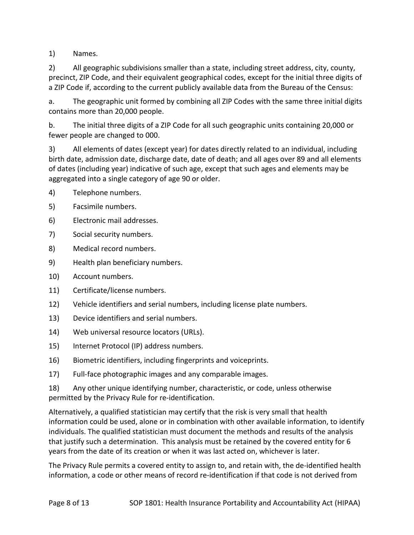1) Names.

2) All geographic subdivisions smaller than a state, including street address, city, county, precinct, ZIP Code, and their equivalent geographical codes, except for the initial three digits of a ZIP Code if, according to the current publicly available data from the Bureau of the Census:

a. The geographic unit formed by combining all ZIP Codes with the same three initial digits contains more than 20,000 people.

b. The initial three digits of a ZIP Code for all such geographic units containing 20,000 or fewer people are changed to 000.

3) All elements of dates (except year) for dates directly related to an individual, including birth date, admission date, discharge date, date of death; and all ages over 89 and all elements of dates (including year) indicative of such age, except that such ages and elements may be aggregated into a single category of age 90 or older.

- 4) Telephone numbers.
- 5) Facsimile numbers.
- 6) Electronic mail addresses.
- 7) Social security numbers.
- 8) Medical record numbers.
- 9) Health plan beneficiary numbers.
- 10) Account numbers.
- 11) Certificate/license numbers.
- 12) Vehicle identifiers and serial numbers, including license plate numbers.
- 13) Device identifiers and serial numbers.
- 14) Web universal resource locators (URLs).
- 15) Internet Protocol (IP) address numbers.
- 16) Biometric identifiers, including fingerprints and voiceprints.
- 17) Full-face photographic images and any comparable images.

18) Any other unique identifying number, characteristic, or code, unless otherwise permitted by the Privacy Rule for re-identification.

Alternatively, a qualified statistician may certify that the risk is very small that health information could be used, alone or in combination with other available information, to identify individuals. The qualified statistician must document the methods and results of the analysis that justify such a determination. This analysis must be retained by the covered entity for 6 years from the date of its creation or when it was last acted on, whichever is later.

The Privacy Rule permits a covered entity to assign to, and retain with, the de-identified health information, a code or other means of record re-identification if that code is not derived from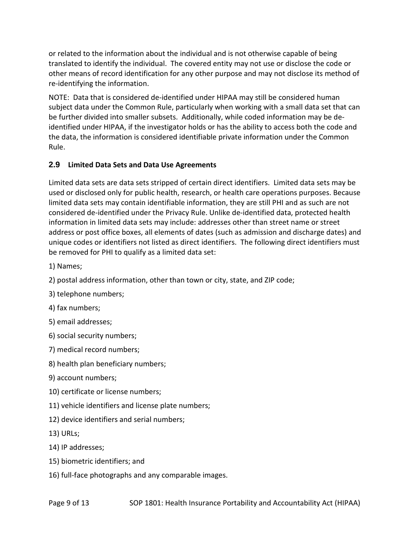or related to the information about the individual and is not otherwise capable of being translated to identify the individual. The covered entity may not use or disclose the code or other means of record identification for any other purpose and may not disclose its method of re-identifying the information.

NOTE: Data that is considered de-identified under HIPAA may still be considered human subject data under the Common Rule, particularly when working with a small data set that can be further divided into smaller subsets. Additionally, while coded information may be deidentified under HIPAA, if the investigator holds or has the ability to access both the code and the data, the information is considered identifiable private information under the Common Rule.

## **2.9 Limited Data Sets and Data Use Agreements**

Limited data sets are data sets stripped of certain direct identifiers. Limited data sets may be used or disclosed only for public health, research, or health care operations purposes. Because limited data sets may contain identifiable information, they are still PHI and as such are not considered de-identified under the Privacy Rule. Unlike de-identified data, protected health information in limited data sets may include: addresses other than street name or street address or post office boxes, all elements of dates (such as admission and discharge dates) and unique codes or identifiers not listed as direct identifiers. The following direct identifiers must be removed for PHI to qualify as a limited data set:

1) Names;

2) postal address information, other than town or city, state, and ZIP code;

- 3) telephone numbers;
- 4) fax numbers;
- 5) email addresses;
- 6) social security numbers;
- 7) medical record numbers;
- 8) health plan beneficiary numbers;
- 9) account numbers;
- 10) certificate or license numbers;
- 11) vehicle identifiers and license plate numbers;
- 12) device identifiers and serial numbers;
- 13) URLs;
- 14) IP addresses;
- 15) biometric identifiers; and
- 16) full-face photographs and any comparable images.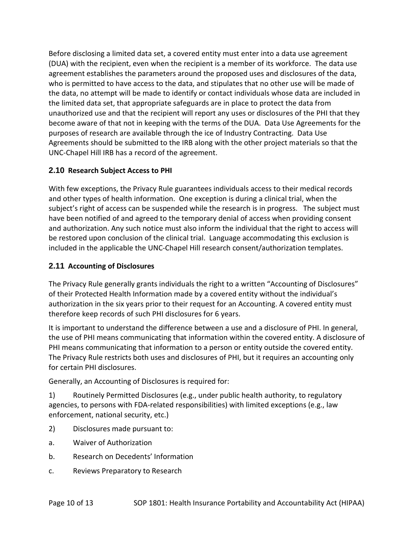Before disclosing a limited data set, a covered entity must enter into a data use agreement (DUA) with the recipient, even when the recipient is a member of its workforce. The data use agreement establishes the parameters around the proposed uses and disclosures of the data, who is permitted to have access to the data, and stipulates that no other use will be made of the data, no attempt will be made to identify or contact individuals whose data are included in the limited data set, that appropriate safeguards are in place to protect the data from unauthorized use and that the recipient will report any uses or disclosures of the PHI that they become aware of that not in keeping with the terms of the DUA. Data Use Agreements for the purposes of research are available through the ice of Industry Contracting. Data Use Agreements should be submitted to the IRB along with the other project materials so that the UNC-Chapel Hill IRB has a record of the agreement.

## **2.10 Research Subject Access to PHI**

With few exceptions, the Privacy Rule guarantees individuals access to their medical records and other types of health information. One exception is during a clinical trial, when the subject's right of access can be suspended while the research is in progress. The subject must have been notified of and agreed to the temporary denial of access when providing consent and authorization. Any such notice must also inform the individual that the right to access will be restored upon conclusion of the clinical trial. Language accommodating this exclusion is included in the applicable the UNC-Chapel Hill research consent/authorization templates.

## **2.11 Accounting of Disclosures**

The Privacy Rule generally grants individuals the right to a written "Accounting of Disclosures" of their Protected Health Information made by a covered entity without the individual's authorization in the six years prior to their request for an Accounting. A covered entity must therefore keep records of such PHI disclosures for 6 years.

It is important to understand the difference between a use and a disclosure of PHI. In general, the use of PHI means communicating that information within the covered entity. A disclosure of PHI means communicating that information to a person or entity outside the covered entity. The Privacy Rule restricts both uses and disclosures of PHI, but it requires an accounting only for certain PHI disclosures.

Generally, an Accounting of Disclosures is required for:

1) Routinely Permitted Disclosures (e.g., under public health authority, to regulatory agencies, to persons with FDA-related responsibilities) with limited exceptions (e.g., law enforcement, national security, etc.)

- 2) Disclosures made pursuant to:
- a. Waiver of Authorization
- b. Research on Decedents' Information
- c. Reviews Preparatory to Research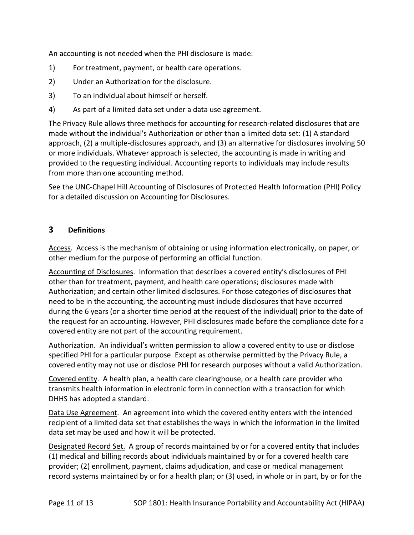An accounting is not needed when the PHI disclosure is made:

- 1) For treatment, payment, or health care operations.
- 2) Under an Authorization for the disclosure.
- 3) To an individual about himself or herself.
- 4) As part of a limited data set under a data use agreement.

The Privacy Rule allows three methods for accounting for research-related disclosures that are made without the individual's Authorization or other than a limited data set: (1) A standard approach, (2) a multiple-disclosures approach, and (3) an alternative for disclosures involving 50 or more individuals. Whatever approach is selected, the accounting is made in writing and provided to the requesting individual. Accounting reports to individuals may include results from more than one accounting method.

See the UNC-Chapel Hill Accounting of Disclosures of Protected Health Information (PHI) Policy for a detailed discussion on Accounting for Disclosures.

## **3 Definitions**

Access. Access is the mechanism of obtaining or using information electronically, on paper, or other medium for the purpose of performing an official function.

Accounting of Disclosures. Information that describes a covered entity's disclosures of PHI other than for treatment, payment, and health care operations; disclosures made with Authorization; and certain other limited disclosures. For those categories of disclosures that need to be in the accounting, the accounting must include disclosures that have occurred during the 6 years (or a shorter time period at the request of the individual) prior to the date of the request for an accounting. However, PHI disclosures made before the compliance date for a covered entity are not part of the accounting requirement.

Authorization. An individual's written permission to allow a covered entity to use or disclose specified PHI for a particular purpose. Except as otherwise permitted by the Privacy Rule, a covered entity may not use or disclose PHI for research purposes without a valid Authorization.

Covered entity. A health plan, a health care clearinghouse, or a health care provider who transmits health information in electronic form in connection with a transaction for which DHHS has adopted a standard.

Data Use Agreement. An agreement into which the covered entity enters with the intended recipient of a limited data set that establishes the ways in which the information in the limited data set may be used and how it will be protected.

Designated Record Set. A group of records maintained by or for a covered entity that includes (1) medical and billing records about individuals maintained by or for a covered health care provider; (2) enrollment, payment, claims adjudication, and case or medical management record systems maintained by or for a health plan; or (3) used, in whole or in part, by or for the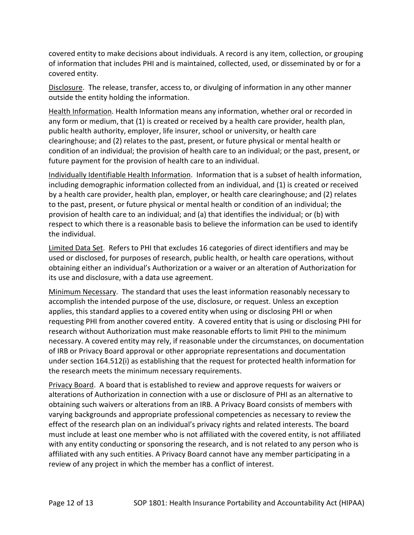covered entity to make decisions about individuals. A record is any item, collection, or grouping of information that includes PHI and is maintained, collected, used, or disseminated by or for a covered entity.

Disclosure. The release, transfer, access to, or divulging of information in any other manner outside the entity holding the information.

Health Information. Health Information means any information, whether oral or recorded in any form or medium, that (1) is created or received by a health care provider, health plan, public health authority, employer, life insurer, school or university, or health care clearinghouse; and (2) relates to the past, present, or future physical or mental health or condition of an individual; the provision of health care to an individual; or the past, present, or future payment for the provision of health care to an individual.

Individually Identifiable Health Information. Information that is a subset of health information, including demographic information collected from an individual, and (1) is created or received by a health care provider, health plan, employer, or health care clearinghouse; and (2) relates to the past, present, or future physical or mental health or condition of an individual; the provision of health care to an individual; and (a) that identifies the individual; or (b) with respect to which there is a reasonable basis to believe the information can be used to identify the individual.

Limited Data Set. Refers to PHI that excludes 16 categories of direct identifiers and may be used or disclosed, for purposes of research, public health, or health care operations, without obtaining either an individual's Authorization or a waiver or an alteration of Authorization for its use and disclosure, with a data use agreement.

Minimum Necessary. The standard that uses the least information reasonably necessary to accomplish the intended purpose of the use, disclosure, or request. Unless an exception applies, this standard applies to a covered entity when using or disclosing PHI or when requesting PHI from another covered entity. A covered entity that is using or disclosing PHI for research without Authorization must make reasonable efforts to limit PHI to the minimum necessary. A covered entity may rely, if reasonable under the circumstances, on documentation of IRB or Privacy Board approval or other appropriate representations and documentation under section 164.512(i) as establishing that the request for protected health information for the research meets the minimum necessary requirements.

Privacy Board. A board that is established to review and approve requests for waivers or alterations of Authorization in connection with a use or disclosure of PHI as an alternative to obtaining such waivers or alterations from an IRB. A Privacy Board consists of members with varying backgrounds and appropriate professional competencies as necessary to review the effect of the research plan on an individual's privacy rights and related interests. The board must include at least one member who is not affiliated with the covered entity, is not affiliated with any entity conducting or sponsoring the research, and is not related to any person who is affiliated with any such entities. A Privacy Board cannot have any member participating in a review of any project in which the member has a conflict of interest.